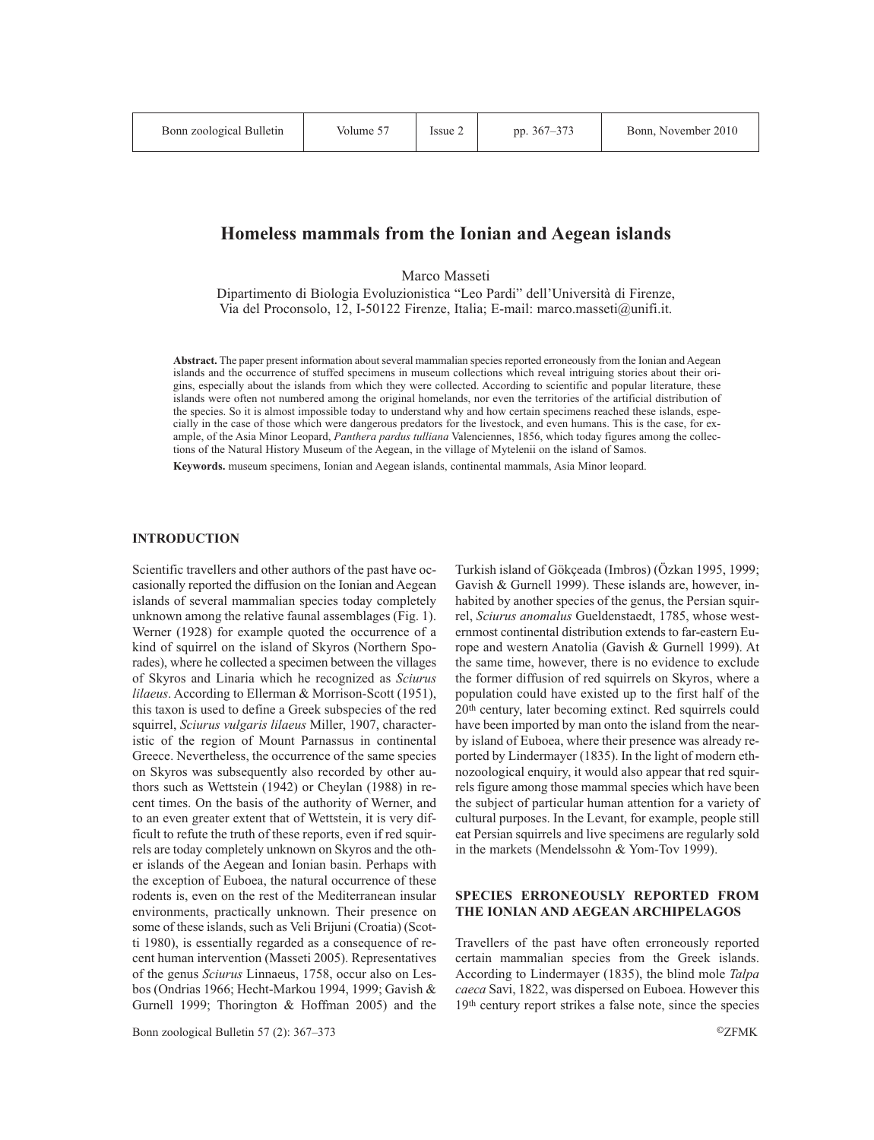# **Homeless mammals from the Ionian and Aegean islands**

Marco Masseti

Dipartimento di Biologia Evoluzionistica "Leo Pardi" dell'Università di Firenze, Via del Proconsolo, 12, I-50122 Firenze, Italia; E-mail: marco.masseti@unifi.it.

**Abstract.** The paper present information about several mammalian species reported erroneously from the Ionian and Aegean islands and the occurrence of stuffed specimens in museum collections which reveal intriguing stories about their origins, especially about the islands from which they were collected. According to scientific and popular literature, these islands were often not numbered among the original homelands, nor even the territories of the artificial distribution of the species. So it is almost impossible today to understand why and how certain specimens reached these islands, especially in the case of those which were dangerous predators for the livestock, and even humans. This is the case, for example, of the Asia Minor Leopard, *Panthera pardus tulliana* Valenciennes, 1856, which today figures among the collections of the Natural History Museum of the Aegean, in the village of Mytelenii on the island of Samos.

**Keywords.** museum specimens, Ionian and Aegean islands, continental mammals, Asia Minor leopard.

#### **INTRODUCTION**

Scientific travellers and other authors of the past have occasionally reported the diffusion on the Ionian and Aegean islands of several mammalian species today completely unknown among the relative faunal assemblages (Fig. 1). Werner (1928) for example quoted the occurrence of a kind of squirrel on the island of Skyros (Northern Sporades), where he collected a specimen between the villages of Skyros and Linaria which he recognized as *Sciurus lilaeus*. According to Ellerman & Morrison-Scott (1951), this taxon is used to define a Greek subspecies of the red squirrel, *Sciurus vulgaris lilaeus* Miller, 1907, characteristic of the region of Mount Parnassus in continental Greece. Nevertheless, the occurrence of the same species on Skyros was subsequently also recorded by other authors such as Wettstein (1942) or Cheylan (1988) in recent times. On the basis of the authority of Werner, and to an even greater extent that of Wettstein, it is very difficult to refute the truth of these reports, even if red squirrels are today completely unknown on Skyros and the other islands of the Aegean and Ionian basin. Perhaps with the exception of Euboea, the natural occurrence of these rodents is, even on the rest of the Mediterranean insular environments, practically unknown. Their presence on some of these islands, such as Veli Brijuni (Croatia) (Scotti 1980), is essentially regarded as a consequence of recent human intervention (Masseti 2005). Representatives of the genus *Sciurus* Linnaeus, 1758, occur also on Lesbos (Ondrias 1966; Hecht-Markou 1994, 1999; Gavish & Gurnell 1999; Thorington & Hoffman 2005) and the Turkish island of Gökçeada (Imbros) (Özkan 1995, 1999; Gavish & Gurnell 1999). These islands are, however, inhabited by another species of the genus, the Persian squirrel, *Sciurus anomalus* Gueldenstaedt, 1785, whose westernmost continental distribution extends to far-eastern Europe and western Anatolia (Gavish & Gurnell 1999). At the same time, however, there is no evidence to exclude the former diffusion of red squirrels on Skyros, where a population could have existed up to the first half of the 20th century, later becoming extinct. Red squirrels could have been imported by man onto the island from the nearby island of Euboea, where their presence was already reported by Lindermayer (1835). In the light of modern ethnozoological enquiry, it would also appear that red squirrels figure among those mammal species which have been the subject of particular human attention for a variety of cultural purposes. In the Levant, for example, people still eat Persian squirrels and live specimens are regularly sold in the markets (Mendelssohn & Yom-Tov 1999).

#### **SPECIES ERRONEOUSLY REPORTED FROM THE IONIAN AND AEGEAN ARCHIPELAGOS**

Travellers of the past have often erroneously reported certain mammalian species from the Greek islands. According to Lindermayer (1835), the blind mole *Talpa caeca* Savi, 1822, was dispersed on Euboea. However this 19th century report strikes a false note, since the species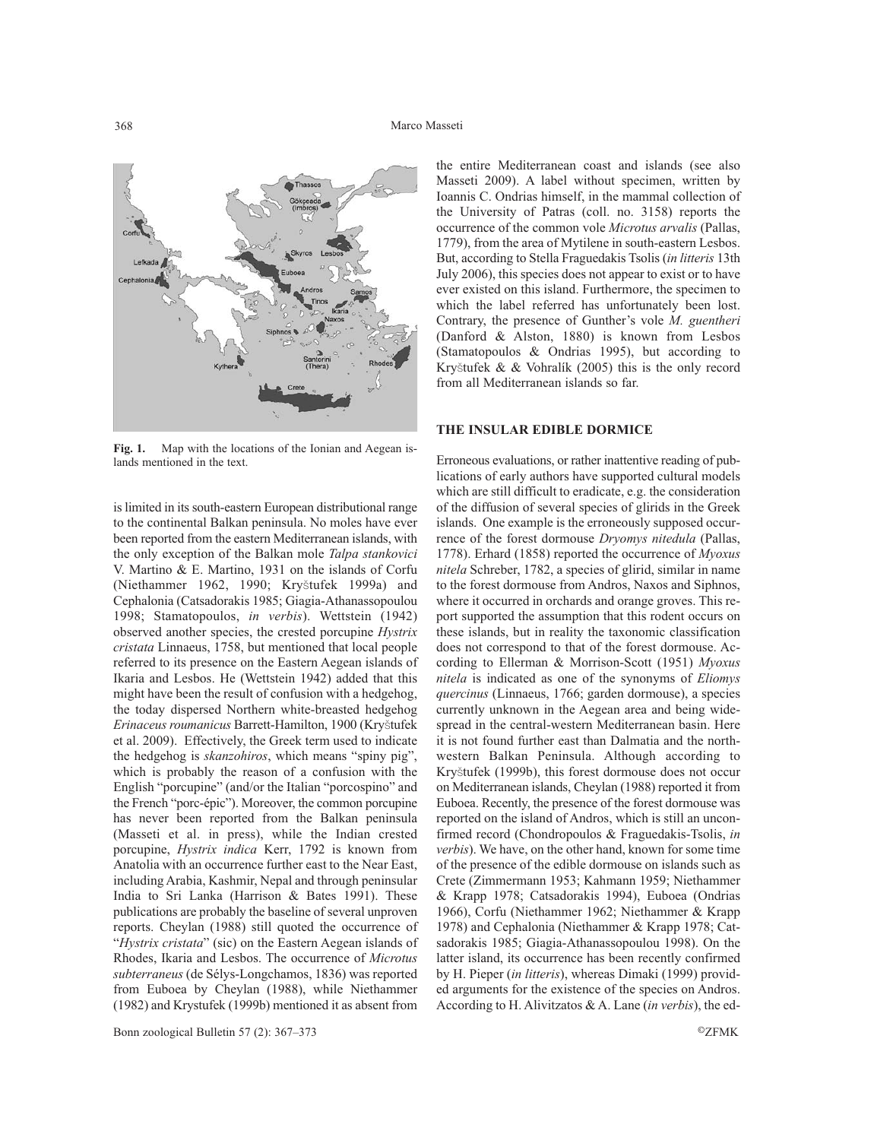

Fig. 1. Map with the locations of the Ionian and Aegean islands mentioned in the text.

is limited in its south-eastern European distributional range to the continental Balkan peninsula. No moles have ever been reported from the eastern Mediterranean islands, with the only exception of the Balkan mole *Talpa stankovici* V. Martino & E. Martino, 1931 on the islands of Corfu (Niethammer 1962, 1990; Kryštufek 1999a) and Cephalonia (Catsadorakis 1985; Giagia-Athanassopoulou 1998; Stamatopoulos, *in verbis*). Wettstein (1942) observed another species, the crested porcupine *Hystrix cristata* Linnaeus, 1758, but mentioned that local people referred to its presence on the Eastern Aegean islands of Ikaria and Lesbos. He (Wettstein 1942) added that this might have been the result of confusion with a hedgehog, the today dispersed Northern white-breasted hedgehog *Erinaceus roumanicus* Barrett-Hamilton, 1900 (Kryštufek et al. 2009). Effectively, the Greek term used to indicate the hedgehog is *skanzohiros*, which means "spiny pig", which is probably the reason of a confusion with the English "porcupine" (and/or the Italian "porcospino" and the French "porc-épic"). Moreover, the common porcupine has never been reported from the Balkan peninsula (Masseti et al. in press), while the Indian crested porcupine, *Hystrix indica* Kerr, 1792 is known from Anatolia with an occurrence further east to the Near East, including Arabia, Kashmir, Nepal and through peninsular India to Sri Lanka (Harrison & Bates 1991). These publications are probably the baseline of several unproven reports. Cheylan (1988) still quoted the occurrence of "*Hystrix cristata*" (sic) on the Eastern Aegean islands of Rhodes, Ikaria and Lesbos. The occurrence of *Microtus subterraneus* (de Sélys-Longchamos, 1836) was reported from Euboea by Cheylan (1988), while Niethammer (1982) and Krystufek (1999b) mentioned it as absent from

the entire Mediterranean coast and islands (see also Masseti 2009). A label without specimen, written by Ioannis C. Ondrias himself, in the mammal collection of the University of Patras (coll. no. 3158) reports the occurrence of the common vole *Microtus arvalis* (Pallas, 1779), from the area of Mytilene in south-eastern Lesbos. But, according to Stella Fraguedakis Tsolis (*in litteris* 13th July 2006), this species does not appear to exist or to have ever existed on this island. Furthermore, the specimen to which the label referred has unfortunately been lost. Contrary, the presence of Gunther's vole *M. guentheri* (Danford & Alston, 1880) is known from Lesbos (Stamatopoulos & Ondrias 1995), but according to Kryštufek & & Vohralík (2005) this is the only record from all Mediterranean islands so far.

### **THE INSULAR EDIBLE DORMICE**

Erroneous evaluations, or rather inattentive reading of publications of early authors have supported cultural models which are still difficult to eradicate, e.g. the consideration of the diffusion of several species of glirids in the Greek islands. One example is the erroneously supposed occurrence of the forest dormouse *Dryomys nitedula* (Pallas, 1778). Erhard (1858) reported the occurrence of *Myoxus nitela* Schreber, 1782, a species of glirid, similar in name to the forest dormouse from Andros, Naxos and Siphnos, where it occurred in orchards and orange groves. This report supported the assumption that this rodent occurs on these islands, but in reality the taxonomic classification does not correspond to that of the forest dormouse. According to Ellerman & Morrison-Scott (1951) *Myoxus nitela* is indicated as one of the synonyms of *Eliomys quercinus* (Linnaeus, 1766; garden dormouse), a species currently unknown in the Aegean area and being widespread in the central-western Mediterranean basin. Here it is not found further east than Dalmatia and the northwestern Balkan Peninsula. Although according to Kryštufek (1999b), this forest dormouse does not occur on Mediterranean islands, Cheylan (1988) reported it from Euboea. Recently, the presence of the forest dormouse was reported on the island of Andros, which is still an unconfirmed record (Chondropoulos & Fraguedakis-Tsolis, *in verbis*). We have, on the other hand, known for some time of the presence of the edible dormouse on islands such as Crete (Zimmermann 1953; Kahmann 1959; Niethammer & Krapp 1978; Catsadorakis 1994), Euboea (Ondrias 1966), Corfu (Niethammer 1962; Niethammer & Krapp 1978) and Cephalonia (Niethammer & Krapp 1978; Catsadorakis 1985; Giagia-Athanassopoulou 1998). On the latter island, its occurrence has been recently confirmed by H. Pieper (*in litteris*), whereas Dimaki (1999) provided arguments for the existence of the species on Andros. According to H. Alivitzatos & A. Lane (*in verbis*), the ed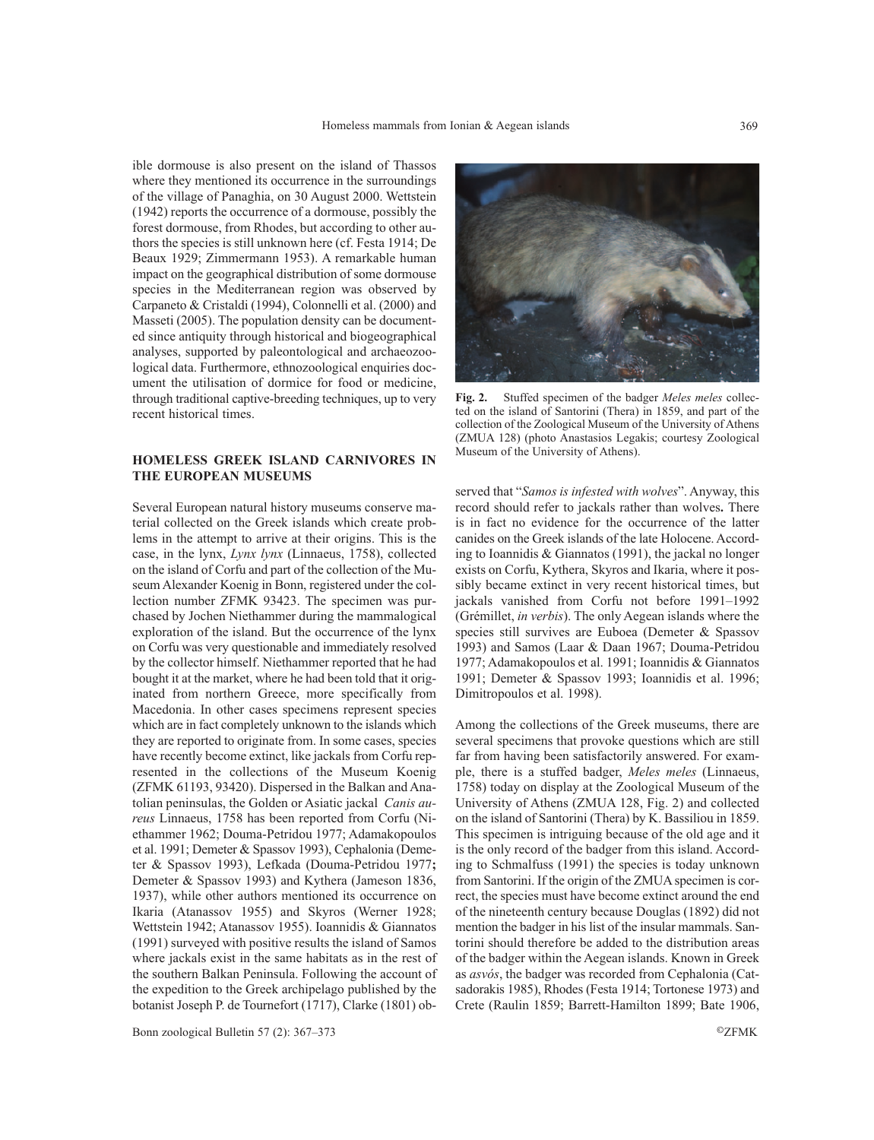ible dormouse is also present on the island of Thassos where they mentioned its occurrence in the surroundings of the village of Panaghia, on 30 August 2000. Wettstein (1942) reports the occurrence of a dormouse, possibly the forest dormouse, from Rhodes, but according to other authors the species is still unknown here (cf. Festa 1914; De Beaux 1929; Zimmermann 1953). A remarkable human impact on the geographical distribution of some dormouse species in the Mediterranean region was observed by Carpaneto & Cristaldi (1994), Colonnelli et al. (2000) and Masseti (2005). The population density can be documented since antiquity through historical and biogeographical analyses, supported by paleontological and archaeozoological data. Furthermore, ethnozoological enquiries document the utilisation of dormice for food or medicine, through traditional captive-breeding techniques, up to very recent historical times.

# **HOMELESS GREEK ISLAND CARNIVORES IN THE EUROPEAN MUSEUMS**

Several European natural history museums conserve material collected on the Greek islands which create problems in the attempt to arrive at their origins. This is the case, in the lynx, *Lynx lynx* (Linnaeus, 1758), collected on the island of Corfu and part of the collection of the Museum Alexander Koenig in Bonn, registered under the collection number ZFMK 93423. The specimen was purchased by Jochen Niethammer during the mammalogical exploration of the island. But the occurrence of the lynx on Corfu was very questionable and immediately resolved by the collector himself. Niethammer reported that he had bought it at the market, where he had been told that it originated from northern Greece, more specifically from Macedonia. In other cases specimens represent species which are in fact completely unknown to the islands which they are reported to originate from. In some cases, species have recently become extinct, like jackals from Corfu represented in the collections of the Museum Koenig (ZFMK 61193, 93420). Dispersed in the Balkan and Anatolian peninsulas, the Golden or Asiatic jackal *Canis aureus* Linnaeus, 1758 has been reported from Corfu (Niethammer 1962; Douma-Petridou 1977; Adamakopoulos et al. 1991; Demeter & Spassov 1993), Cephalonia (Demeter & Spassov 1993), Lefkada (Douma-Petridou 1977**;** Demeter & Spassov 1993) and Kythera (Jameson 1836, 1937), while other authors mentioned its occurrence on Ikaria (Atanassov 1955) and Skyros (Werner 1928; Wettstein 1942; Atanassov 1955). Ioannidis & Giannatos (1991) surveyed with positive results the island of Samos where jackals exist in the same habitats as in the rest of the southern Balkan Peninsula. Following the account of the expedition to the Greek archipelago published by the botanist Joseph P. de Tournefort (1717), Clarke (1801) ob-



**Fig. 2.** Stuffed specimen of the badger *Meles meles* collected on the island of Santorini (Thera) in 1859, and part of the collection of the Zoological Museum of the University of Athens (ZMUA 128) (photo Anastasios Legakis; courtesy Zoological Museum of the University of Athens).

served that "*Samos is infested with wolves*". Anyway, this record should refer to jackals rather than wolves**.** There is in fact no evidence for the occurrence of the latter canides on the Greek islands of the late Holocene. According to Ioannidis & Giannatos (1991), the jackal no longer exists on Corfu, Kythera, Skyros and Ikaria, where it possibly became extinct in very recent historical times, but jackals vanished from Corfu not before 1991–1992 (Grémillet, *in verbis*). The only Aegean islands where the species still survives are Euboea (Demeter & Spassov 1993) and Samos (Laar & Daan 1967; Douma-Petridou 1977; Adamakopoulos et al. 1991; Ioannidis & Giannatos 1991; Demeter & Spassov 1993; Ioannidis et al. 1996; Dimitropoulos et al. 1998).

Among the collections of the Greek museums, there are several specimens that provoke questions which are still far from having been satisfactorily answered. For example, there is a stuffed badger, *Meles meles* (Linnaeus, 1758) today on display at the Zoological Museum of the University of Athens (ZMUA 128, Fig. 2) and collected on the island of Santorini (Thera) by K. Bassiliou in 1859. This specimen is intriguing because of the old age and it is the only record of the badger from this island. According to Schmalfuss (1991) the species is today unknown from Santorini. If the origin of the ZMUA specimen is correct, the species must have become extinct around the end of the nineteenth century because Douglas (1892) did not mention the badger in his list of the insular mammals. Santorini should therefore be added to the distribution areas of the badger within the Aegean islands. Known in Greek as *asvós*, the badger was recorded from Cephalonia (Catsadorakis 1985), Rhodes (Festa 1914; Tortonese 1973) and Crete (Raulin 1859; Barrett-Hamilton 1899; Bate 1906,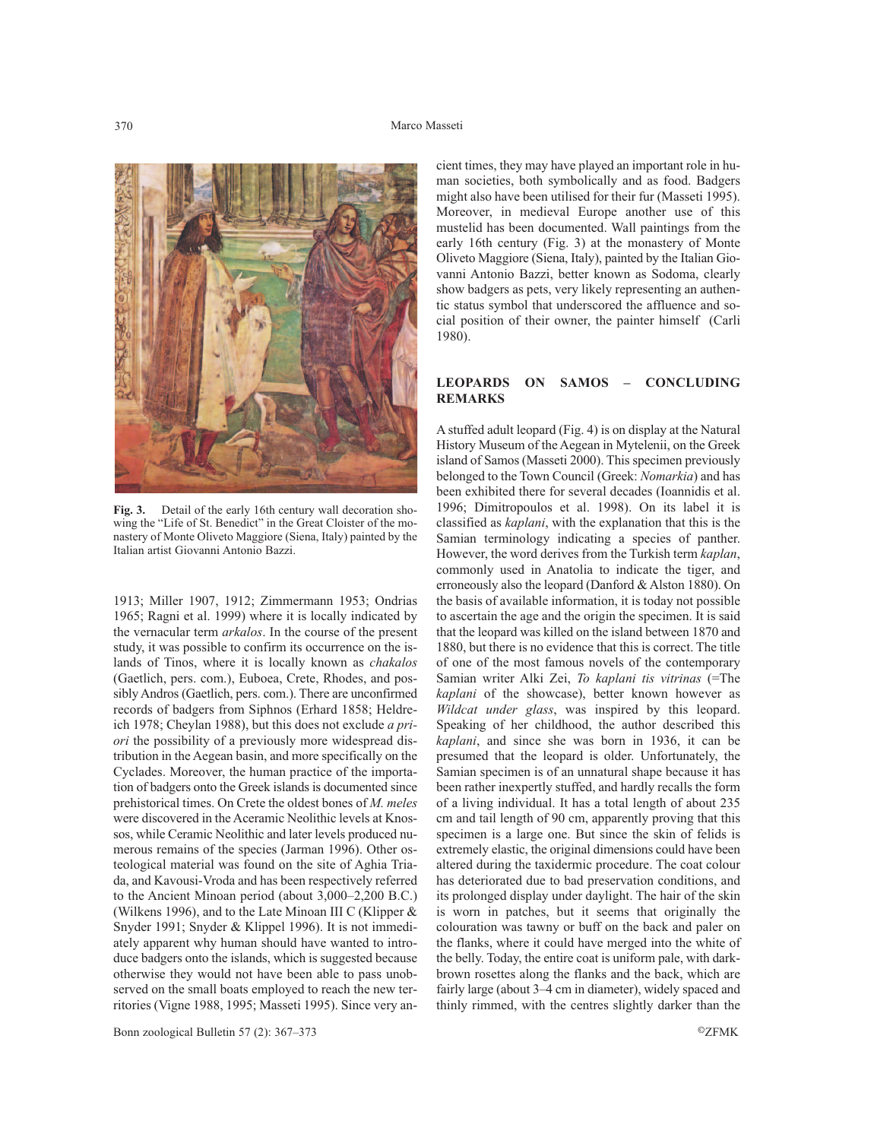

**Fig. 3.** Detail of the early 16th century wall decoration showing the "Life of St. Benedict" in the Great Cloister of the monastery of Monte Oliveto Maggiore (Siena, Italy) painted by the Italian artist Giovanni Antonio Bazzi.

1913; Miller 1907, 1912; Zimmermann 1953; Ondrias 1965; Ragni et al. 1999) where it is locally indicated by the vernacular term *arkalos*. In the course of the present study, it was possible to confirm its occurrence on the islands of Tinos, where it is locally known as *chakalos* (Gaetlich, pers. com.), Euboea, Crete, Rhodes, and possibly Andros (Gaetlich, pers. com.). There are unconfirmed records of badgers from Siphnos (Erhard 1858; Heldreich 1978; Cheylan 1988), but this does not exclude *a priori* the possibility of a previously more widespread distribution in the Aegean basin, and more specifically on the Cyclades. Moreover, the human practice of the importation of badgers onto the Greek islands is documented since prehistorical times. On Crete the oldest bones of *M. meles* were discovered in the Aceramic Neolithic levels at Knossos, while Ceramic Neolithic and later levels produced numerous remains of the species (Jarman 1996). Other osteological material was found on the site of Aghia Triada, and Kavousi-Vroda and has been respectively referred to the Ancient Minoan period (about 3,000–2,200 B.C.) (Wilkens 1996), and to the Late Minoan III C (Klipper & Snyder 1991; Snyder & Klippel 1996). It is not immediately apparent why human should have wanted to introduce badgers onto the islands, which is suggested because otherwise they would not have been able to pass unobserved on the small boats employed to reach the new territories (Vigne 1988, 1995; Masseti 1995). Since very an-

cient times, they may have played an important role in human societies, both symbolically and as food. Badgers might also have been utilised for their fur (Masseti 1995). Moreover, in medieval Europe another use of this mustelid has been documented. Wall paintings from the early 16th century (Fig. 3) at the monastery of Monte Oliveto Maggiore (Siena, Italy), painted by the Italian Giovanni Antonio Bazzi, better known as Sodoma, clearly show badgers as pets, very likely representing an authentic status symbol that underscored the affluence and social position of their owner, the painter himself (Carli 1980).

## **LEOPARDS ON SAMOS – CONCLUDING REMARKS**

A stuffed adult leopard (Fig. 4) is on display at the Natural History Museum of the Aegean in Mytelenii, on the Greek island of Samos (Masseti 2000). This specimen previously belonged to the Town Council (Greek: *Nomarkia*) and has been exhibited there for several decades (Ioannidis et al. 1996; Dimitropoulos et al. 1998). On its label it is classified as *kaplani*, with the explanation that this is the Samian terminology indicating a species of panther. However, the word derives from the Turkish term *kaplan*, commonly used in Anatolia to indicate the tiger, and erroneously also the leopard (Danford & Alston 1880). On the basis of available information, it is today not possible to ascertain the age and the origin the specimen. It is said that the leopard was killed on the island between 1870 and 1880, but there is no evidence that this is correct. The title of one of the most famous novels of the contemporary Samian writer Alki Zei, *To kaplani tis vitrinas* (=The *kaplani* of the showcase), better known however as *Wildcat under glass*, was inspired by this leopard. Speaking of her childhood, the author described this *kaplani*, and since she was born in 1936, it can be presumed that the leopard is older. Unfortunately, the Samian specimen is of an unnatural shape because it has been rather inexpertly stuffed, and hardly recalls the form of a living individual. It has a total length of about 235 cm and tail length of 90 cm, apparently proving that this specimen is a large one. But since the skin of felids is extremely elastic, the original dimensions could have been altered during the taxidermic procedure. The coat colour has deteriorated due to bad preservation conditions, and its prolonged display under daylight. The hair of the skin is worn in patches, but it seems that originally the colouration was tawny or buff on the back and paler on the flanks, where it could have merged into the white of the belly. Today, the entire coat is uniform pale, with darkbrown rosettes along the flanks and the back, which are fairly large (about 3–4 cm in diameter), widely spaced and thinly rimmed, with the centres slightly darker than the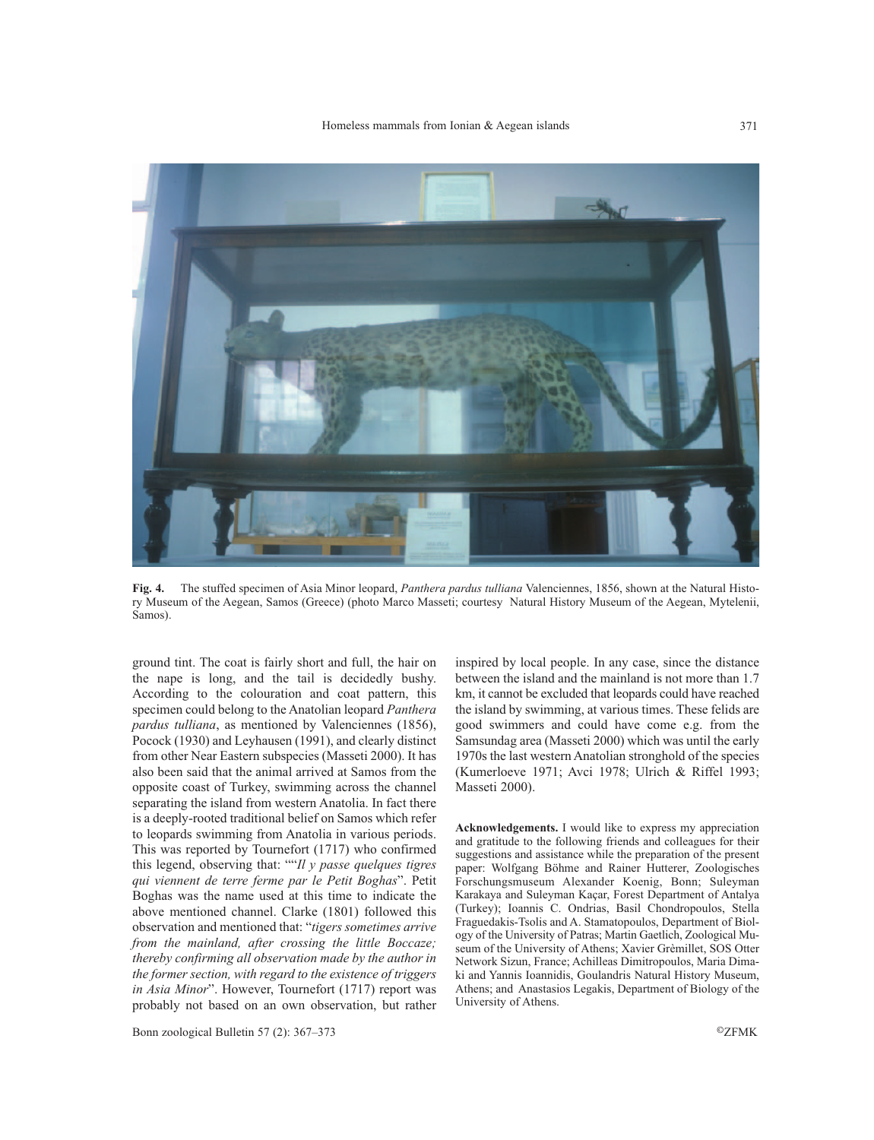

**Fig. 4.** The stuffed specimen of Asia Minor leopard, *Panthera pardus tulliana* Valenciennes, 1856, shown at the Natural History Museum of the Aegean, Samos (Greece) (photo Marco Masseti; courtesy Natural History Museum of the Aegean, Mytelenii, Samos).

ground tint. The coat is fairly short and full, the hair on the nape is long, and the tail is decidedly bushy. According to the colouration and coat pattern, this specimen could belong to the Anatolian leopard *Panthera pardus tulliana*, as mentioned by Valenciennes (1856), Pocock (1930) and Leyhausen (1991), and clearly distinct from other Near Eastern subspecies (Masseti 2000). It has also been said that the animal arrived at Samos from the opposite coast of Turkey, swimming across the channel separating the island from western Anatolia. In fact there is a deeply-rooted traditional belief on Samos which refer to leopards swimming from Anatolia in various periods. This was reported by Tournefort (1717) who confirmed this legend, observing that: ""*Il y passe quelques tigres qui viennent de terre ferme par le Petit Boghas*". Petit Boghas was the name used at this time to indicate the above mentioned channel. Clarke (1801) followed this observation and mentioned that: "*tigers sometimes arrive from the mainland, after crossing the little Boccaze; thereby confirming all observation made by the author in the former section, with regard to the existence of triggers in Asia Minor*". However, Tournefort (1717) report was probably not based on an own observation, but rather

inspired by local people. In any case, since the distance between the island and the mainland is not more than 1.7 km, it cannot be excluded that leopards could have reached the island by swimming, at various times. These felids are good swimmers and could have come e.g. from the Samsundag area (Masseti 2000) which was until the early 1970s the last western Anatolian stronghold of the species (Kumerloeve 1971; Avci 1978; Ulrich & Riffel 1993; Masseti 2000).

**Acknowledgements.** I would like to express my appreciation and gratitude to the following friends and colleagues for their suggestions and assistance while the preparation of the present paper: Wolfgang Böhme and Rainer Hutterer, Zoologisches Forschungsmuseum Alexander Koenig, Bonn; Suleyman Karakaya and Suleyman Kaçar, Forest Department of Antalya (Turkey); Ioannis C. Ondrias, Basil Chondropoulos, Stella Fraguedakis-Tsolis and A. Stamatopoulos, Department of Biology of the University of Patras; Martin Gaetlich, Zoological Museum of the University of Athens; Xavier Grèmillet, SOS Otter Network Sizun, France; Achilleas Dimitropoulos, Maria Dimaki and Yannis Ioannidis, Goulandris Natural History Museum, Athens; and Anastasios Legakis, Department of Biology of the University of Athens.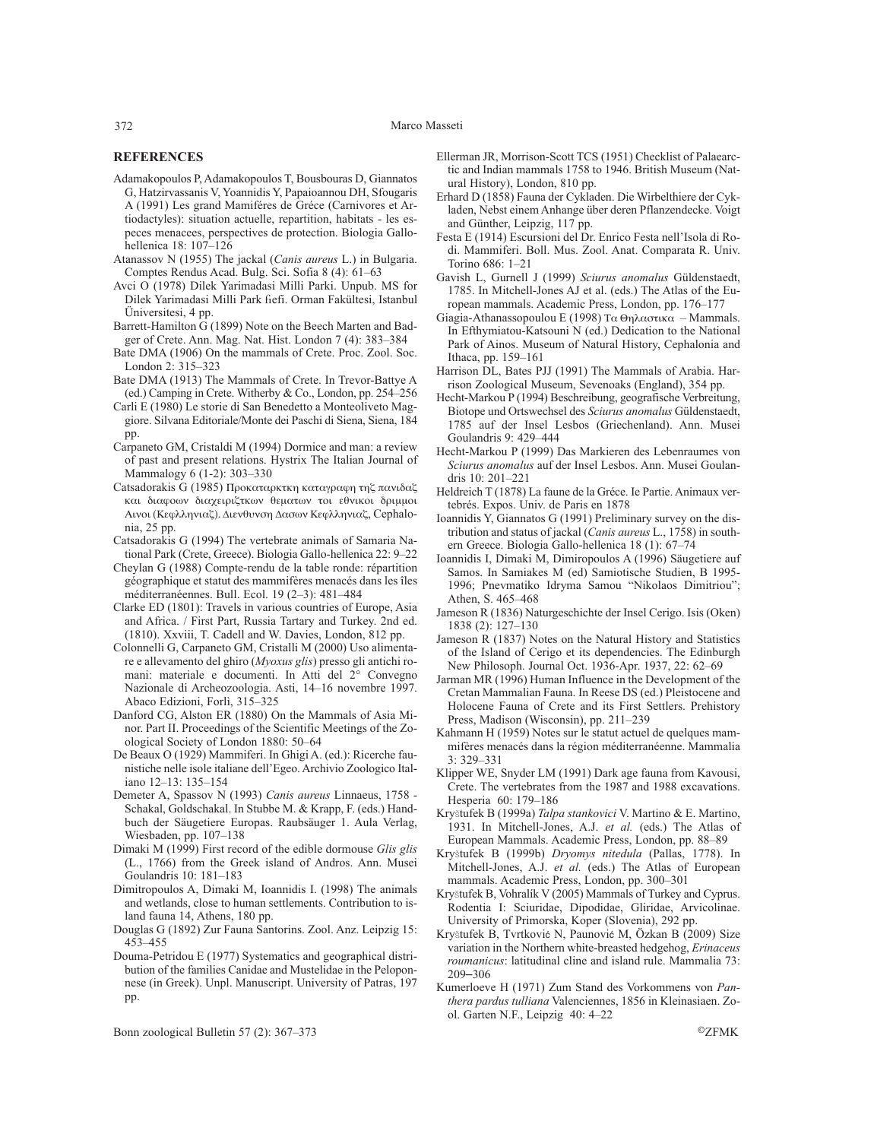#### **REFERENCES**

- Adamakopoulos P, Adamakopoulos T, Bousbouras D, Giannatos G, Hatzirvassanis V, Yoannidis Y, Papaioannou DH, Sfougaris A (1991) Les grand Mamiféres de Gréce (Carnivores et Artiodactyles): situation actuelle, repartition, habitats - les especes menacees, perspectives de protection. Biologia Gallohellenica 18: 107–126
- Atanassov N (1955) The jackal (*Canis aureus* L.) in Bulgaria. Comptes Rendus Acad. Bulg. Sci. Sofia 8 (4): 61–63
- Avci O (1978) Dilek Yarimadasi Milli Parki. Unpub. MS for Dilek Yarimadasi Milli Park fiefi. Orman Fakültesi, Istanbul Üniversitesi, 4 pp.
- Barrett-Hamilton G (1899) Note on the Beech Marten and Badger of Crete. Ann. Mag. Nat. Hist. London 7 (4): 383–384
- Bate DMA (1906) On the mammals of Crete. Proc. Zool. Soc. London 2: 315–323
- Bate DMA (1913) The Mammals of Crete. In Trevor-Battye A (ed.) Camping in Crete. Witherby & Co., London, pp. 254–256
- Carli E (1980) Le storie di San Benedetto a Monteoliveto Maggiore. Silvana Editoriale/Monte dei Paschi di Siena, Siena, 184 pp.
- Carpaneto GM, Cristaldi M (1994) Dormice and man: a review of past and present relations. Hystrix The Italian Journal of Mammalogy 6 (1-2): 303–330
- Catsadorakis G (1985) Προκαταρκτκη καταγραφη της πανιδαζ και διαϕοων διαχειριζτκων θεµατων τοι εθνικοι δριµµοι Αινοι (Κεϕλληνιαζ). ∆ιενθυνση ∆ασων Κεϕλληνιαζ, Cephalonia, 25 pp.
- Catsadorakis G (1994) The vertebrate animals of Samaria National Park (Crete, Greece). Biologia Gallo-hellenica 22: 9–22
- Cheylan G (1988) Compte-rendu de la table ronde: répartition géographique et statut des mammifères menacés dans les îles méditerranéennes. Bull. Ecol. 19 (2–3): 481–484
- Clarke ED (1801): Travels in various countries of Europe, Asia and Africa. / First Part, Russia Tartary and Turkey. 2nd ed. (1810). Xxviii, T. Cadell and W. Davies, London, 812 pp.
- Colonnelli G, Carpaneto GM, Cristalli M (2000) Uso alimentare e allevamento del ghiro (*Myoxus glis*) presso gli antichi romani: materiale e documenti. In Atti del 2° Convegno Nazionale di Archeozoologia. Asti, 14–16 novembre 1997. Abaco Edizioni, Forlì, 315–325
- Danford CG, Alston ER (1880) On the Mammals of Asia Minor. Part II. Proceedings of the Scientific Meetings of the Zoological Society of London 1880: 50–64
- De Beaux O (1929) Mammiferi. In Ghigi A. (ed.): Ricerche faunistiche nelle isole italiane dell'Egeo. Archivio Zoologico Italiano 12–13: 135–154
- Demeter A, Spassov N (1993) *Canis aureus* Linnaeus, 1758 Schakal, Goldschakal. In Stubbe M. & Krapp, F. (eds.) Handbuch der Säugetiere Europas. Raubsäuger 1. Aula Verlag, Wiesbaden, pp. 107–138
- Dimaki M (1999) First record of the edible dormouse *Glis glis* (L., 1766) from the Greek island of Andros. Ann. Musei Goulandris 10: 181–183
- Dimitropoulos A, Dimaki M, Ioannidis I. (1998) The animals and wetlands, close to human settlements. Contribution to island fauna 14, Athens, 180 pp.
- Douglas G (1892) Zur Fauna Santorins. Zool. Anz. Leipzig 15: 453–455
- Douma-Petridou E (1977) Systematics and geographical distribution of the families Canidae and Mustelidae in the Peloponnese (in Greek). Unpl. Manuscript. University of Patras, 197 pp.

Bonn zoological Bulletin 57 (2): 367–373 ©ZFMK

- Ellerman JR, Morrison-Scott TCS (1951) Checklist of Palaearctic and Indian mammals 1758 to 1946. British Museum (Natural History), London, 810 pp.
- Erhard D (1858) Fauna der Cykladen. Die Wirbelthiere der Cykladen, Nebst einem Anhange über deren Pflanzendecke. Voigt and Günther, Leipzig, 117 pp.
- Festa E (1914) Escursioni del Dr. Enrico Festa nell'Isola di Rodi. Mammiferi. Boll. Mus. Zool. Anat. Comparata R. Univ. Torino 686: 1–21
- Gavish L, Gurnell J (1999) *Sciurus anomalus* Güldenstaedt, 1785. In Mitchell-Jones AJ et al. (eds.) The Atlas of the European mammals. Academic Press, London, pp. 176–177
- Giagia-Athanassopoulou E (1998) Τα Θηλαστικα Mammals. In Efthymiatou-Katsouni N (ed.) Dedication to the National Park of Ainos. Museum of Natural History, Cephalonia and Ithaca, pp. 159–161
- Harrison DL, Bates PJJ (1991) The Mammals of Arabia. Harrison Zoological Museum, Sevenoaks (England), 354 pp.
- Hecht-Markou P (1994) Beschreibung, geografische Verbreitung, Biotope und Ortswechsel des *Sciurus anomalus* Güldenstaedt, 1785 auf der Insel Lesbos (Griechenland). Ann. Musei Goulandris 9: 429–444
- Hecht-Markou P (1999) Das Markieren des Lebenraumes von *Sciurus anomalus* auf der Insel Lesbos. Ann. Musei Goulandris 10: 201–221
- Heldreich T (1878) La faune de la Gréce. Ie Partie. Animaux vertebrés. Expos. Univ. de Paris en 1878
- Ioannidis Y, Giannatos G (1991) Preliminary survey on the distribution and status of jackal (*Canis aureus* L., 1758) in southern Greece. Biologia Gallo-hellenica 18 (1): 67–74
- Ioannidis I, Dimaki M, Dimiropoulos A (1996) Säugetiere auf Samos. In Samiakes M (ed) Samiotische Studien, B 1995- 1996; Pnevmatiko Idryma Samou "Nikolaos Dimitriou"; Athen, S. 465–468
- Jameson R (1836) Naturgeschichte der Insel Cerigo. Isis (Oken) 1838 (2): 127–130
- Jameson R (1837) Notes on the Natural History and Statistics of the Island of Cerigo et its dependencies. The Edinburgh New Philosoph. Journal Oct. 1936-Apr. 1937, 22: 62–69
- Jarman MR (1996) Human Influence in the Development of the Cretan Mammalian Fauna. In Reese DS (ed.) Pleistocene and Holocene Fauna of Crete and its First Settlers. Prehistory Press, Madison (Wisconsin), pp. 211–239
- Kahmann H (1959) Notes sur le statut actuel de quelques mammifères menacés dans la région méditerranéenne. Mammalia 3: 329–331
- Klipper WE, Snyder LM (1991) Dark age fauna from Kavousi, Crete. The vertebrates from the 1987 and 1988 excavations. Hesperia 60: 179–186
- Kryštufek B (1999a) *Talpa stankovici* V. Martino & E. Martino, 1931. In Mitchell-Jones, A.J. *et al.* (eds.) The Atlas of European Mammals. Academic Press, London, pp. 88–89
- Kryštufek B (1999b) *Dryomys nitedula* (Pallas, 1778). In Mitchell-Jones, A.J. *et al.* (eds.) The Atlas of European mammals. Academic Press, London, pp. 300–301
- Kryštufek B, Vohralík V (2005) Mammals of Turkey and Cyprus. Rodentia I: Sciuridae, Dipodidae, Gliridae, Arvicolinae. University of Primorska, Koper (Slovenia), 292 pp.
- Kryštufek B, Tvrtković N, Paunović M, Özkan B (2009) Size variation in the Northern white-breasted hedgehog, *Erinaceus roumanicus*: latitudinal cline and island rule. Mammalia 73: 209–306
- Kumerloeve H (1971) Zum Stand des Vorkommens von *Panthera pardus tulliana* Valenciennes, 1856 in Kleinasiaen. Zool. Garten N.F., Leipzig 40: 4–22